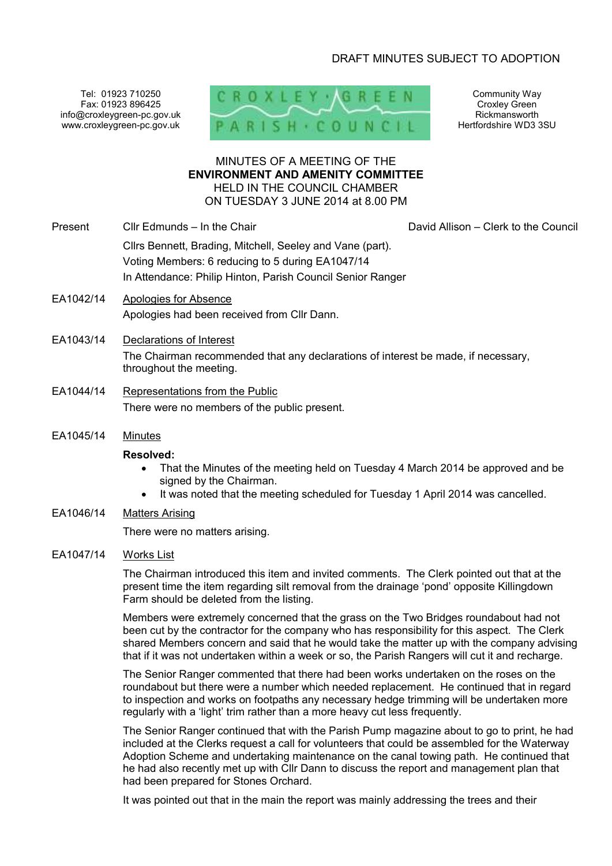# DRAFT MINUTES SUBJECT TO ADOPTION

Tel: 01923 710250 Fax: 01923 896425 info@croxleygreen-pc.gov.uk www.croxleygreen-pc.gov.uk



Community Way Croxley Green Rickmansworth Hertfordshire WD3 3SU

## MINUTES OF A MEETING OF THE **ENVIRONMENT AND AMENITY COMMITTEE** HELD IN THE COUNCIL CHAMBER ON TUESDAY 3 JUNE 2014 at 8.00 PM

- Present Cllr Edmunds In the Chair David Allison Clerk to the Council Cllrs Bennett, Brading, Mitchell, Seeley and Vane (part). Voting Members: 6 reducing to 5 during EA1047/14 In Attendance: Philip Hinton, Parish Council Senior Ranger
- EA1042/14 Apologies for Absence Apologies had been received from Cllr Dann.
- EA1043/14 Declarations of Interest The Chairman recommended that any declarations of interest be made, if necessary, throughout the meeting.
- EA1044/14 Representations from the Public There were no members of the public present.
- EA1045/14 Minutes

#### **Resolved:**

- That the Minutes of the meeting held on Tuesday 4 March 2014 be approved and be signed by the Chairman.
- It was noted that the meeting scheduled for Tuesday 1 April 2014 was cancelled.
- EA1046/14 Matters Arising

There were no matters arising.

EA1047/14 Works List

The Chairman introduced this item and invited comments. The Clerk pointed out that at the present time the item regarding silt removal from the drainage 'pond' opposite Killingdown Farm should be deleted from the listing.

Members were extremely concerned that the grass on the Two Bridges roundabout had not been cut by the contractor for the company who has responsibility for this aspect. The Clerk shared Members concern and said that he would take the matter up with the company advising that if it was not undertaken within a week or so, the Parish Rangers will cut it and recharge.

The Senior Ranger commented that there had been works undertaken on the roses on the roundabout but there were a number which needed replacement. He continued that in regard to inspection and works on footpaths any necessary hedge trimming will be undertaken more regularly with a 'light' trim rather than a more heavy cut less frequently.

The Senior Ranger continued that with the Parish Pump magazine about to go to print, he had included at the Clerks request a call for volunteers that could be assembled for the Waterway Adoption Scheme and undertaking maintenance on the canal towing path. He continued that he had also recently met up with Cllr Dann to discuss the report and management plan that had been prepared for Stones Orchard.

It was pointed out that in the main the report was mainly addressing the trees and their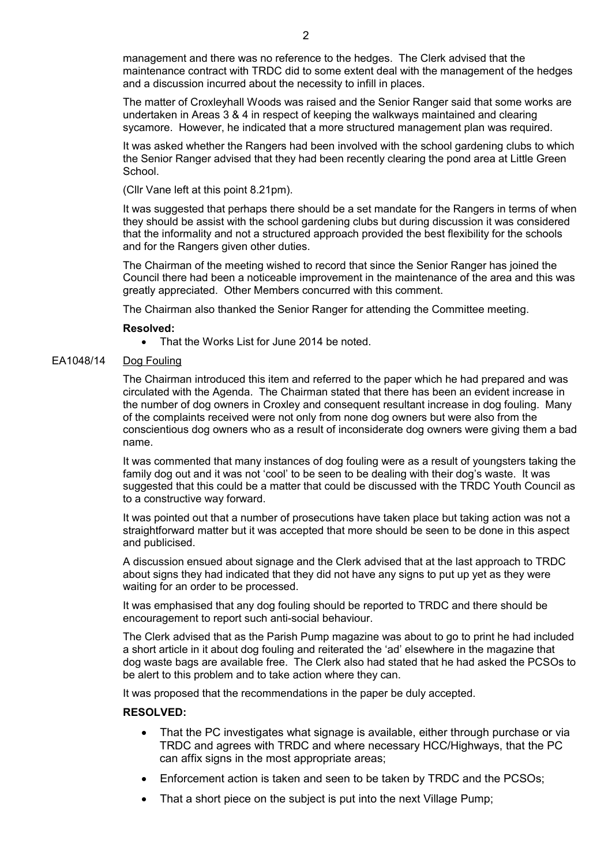management and there was no reference to the hedges. The Clerk advised that the maintenance contract with TRDC did to some extent deal with the management of the hedges and a discussion incurred about the necessity to infill in places.

The matter of Croxleyhall Woods was raised and the Senior Ranger said that some works are undertaken in Areas 3 & 4 in respect of keeping the walkways maintained and clearing sycamore. However, he indicated that a more structured management plan was required.

It was asked whether the Rangers had been involved with the school gardening clubs to which the Senior Ranger advised that they had been recently clearing the pond area at Little Green School.

(Cllr Vane left at this point 8.21pm).

It was suggested that perhaps there should be a set mandate for the Rangers in terms of when they should be assist with the school gardening clubs but during discussion it was considered that the informality and not a structured approach provided the best flexibility for the schools and for the Rangers given other duties.

The Chairman of the meeting wished to record that since the Senior Ranger has joined the Council there had been a noticeable improvement in the maintenance of the area and this was greatly appreciated. Other Members concurred with this comment.

The Chairman also thanked the Senior Ranger for attending the Committee meeting.

#### **Resolved:**

• That the Works List for June 2014 be noted.

#### EA1048/14 Dog Fouling

The Chairman introduced this item and referred to the paper which he had prepared and was circulated with the Agenda. The Chairman stated that there has been an evident increase in the number of dog owners in Croxley and consequent resultant increase in dog fouling. Many of the complaints received were not only from none dog owners but were also from the conscientious dog owners who as a result of inconsiderate dog owners were giving them a bad name.

It was commented that many instances of dog fouling were as a result of youngsters taking the family dog out and it was not 'cool' to be seen to be dealing with their dog's waste. It was suggested that this could be a matter that could be discussed with the TRDC Youth Council as to a constructive way forward.

It was pointed out that a number of prosecutions have taken place but taking action was not a straightforward matter but it was accepted that more should be seen to be done in this aspect and publicised.

A discussion ensued about signage and the Clerk advised that at the last approach to TRDC about signs they had indicated that they did not have any signs to put up yet as they were waiting for an order to be processed.

It was emphasised that any dog fouling should be reported to TRDC and there should be encouragement to report such anti-social behaviour.

The Clerk advised that as the Parish Pump magazine was about to go to print he had included a short article in it about dog fouling and reiterated the 'ad' elsewhere in the magazine that dog waste bags are available free. The Clerk also had stated that he had asked the PCSOs to be alert to this problem and to take action where they can.

It was proposed that the recommendations in the paper be duly accepted.

### **RESOLVED:**

- That the PC investigates what signage is available, either through purchase or via TRDC and agrees with TRDC and where necessary HCC/Highways, that the PC can affix signs in the most appropriate areas;
- Enforcement action is taken and seen to be taken by TRDC and the PCSOs;
- That a short piece on the subject is put into the next Village Pump;